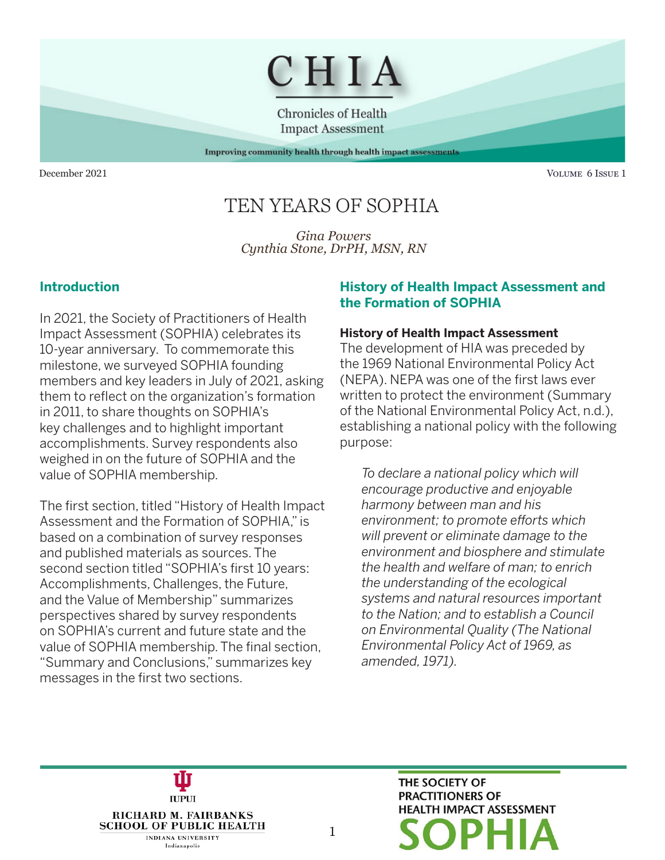

**Chronicles of Health Impact Assessment** 

Improving community health through health impact assessments

December 2021 Volume 6 Issue 1

# TEN YEARS OF SOPHIA

*Gina Powers Cynthia Stone, DrPH, MSN, RN*

## **Introduction**

In 2021, the Society of Practitioners of Health Impact Assessment (SOPHIA) celebrates its 10-year anniversary. To commemorate this milestone, we surveyed SOPHIA founding members and key leaders in July of 2021, asking them to reflect on the organization's formation in 2011, to share thoughts on SOPHIA's key challenges and to highlight important accomplishments. Survey respondents also weighed in on the future of SOPHIA and the value of SOPHIA membership.

The first section, titled "History of Health Impact Assessment and the Formation of SOPHIA," is based on a combination of survey responses and published materials as sources. The second section titled "SOPHIA's first 10 years: Accomplishments, Challenges, the Future, and the Value of Membership" summarizes perspectives shared by survey respondents on SOPHIA's current and future state and the value of SOPHIA membership. The final section, "Summary and Conclusions," summarizes key messages in the first two sections.

**IUPUI** 

RICHARD M. FAIRBANKS **SCHOOL OF PUBLIC HEALTH INDIANA UNIVERSITY** Indianapolis

#### **History of Health Impact Assessment and the Formation of SOPHIA**

#### **History of Health Impact Assessment**

The development of HIA was preceded by the 1969 National Environmental Policy Act (NEPA). NEPA was one of the first laws ever written to protect the environment (Summary of the National Environmental Policy Act, n.d.), establishing a national policy with the following purpose:

*To declare a national policy which will encourage productive and enjoyable harmony between man and his environment; to promote efforts which will prevent or eliminate damage to the environment and biosphere and stimulate the health and welfare of man; to enrich the understanding of the ecological systems and natural resources important to the Nation; and to establish a Council on Environmental Quality (The National Environmental Policy Act of 1969, as amended, 1971).*

> THE SOCIETY OF **PRACTITIONERS OF HEALTH IMPACT ASSESSMENT**

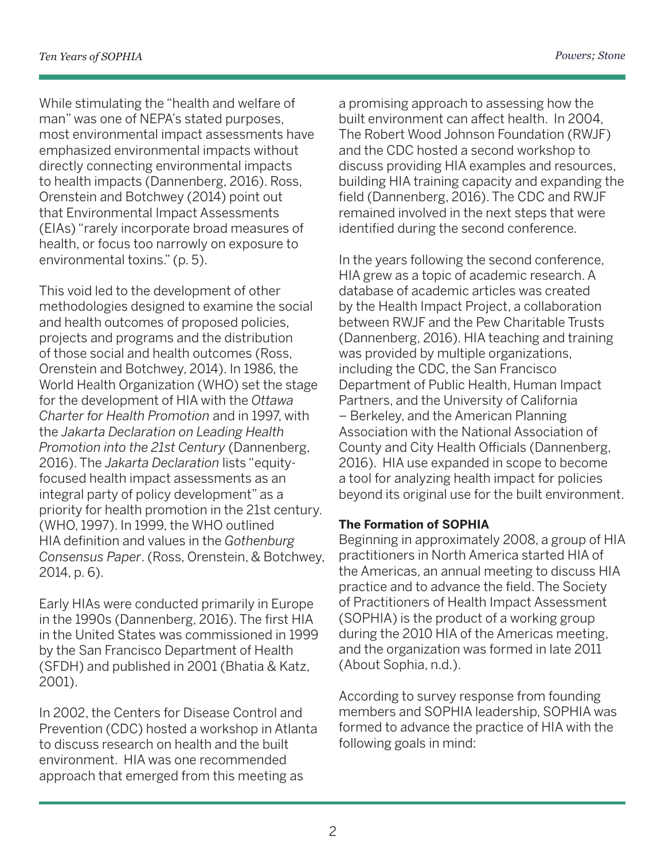While stimulating the "health and welfare of man" was one of NEPA's stated purposes, most environmental impact assessments have emphasized environmental impacts without directly connecting environmental impacts to health impacts (Dannenberg, 2016). Ross, Orenstein and Botchwey (2014) point out that Environmental Impact Assessments (EIAs) "rarely incorporate broad measures of health, or focus too narrowly on exposure to environmental toxins." (p. 5).

This void led to the development of other methodologies designed to examine the social and health outcomes of proposed policies, projects and programs and the distribution of those social and health outcomes (Ross, Orenstein and Botchwey, 2014). In 1986, the World Health Organization (WHO) set the stage for the development of HIA with the *Ottawa Charter for Health Promotion* and in 1997, with the *Jakarta Declaration on Leading Health Promotion into the 21st Century* (Dannenberg, 2016). The *Jakarta Declaration* lists "equityfocused health impact assessments as an integral party of policy development" as a priority for health promotion in the 21st century. (WHO, 1997). In 1999, the WHO outlined HIA definition and values in the *Gothenburg Consensus Paper*. (Ross, Orenstein, & Botchwey, 2014, p. 6).

Early HIAs were conducted primarily in Europe in the 1990s (Dannenberg, 2016). The first HIA in the United States was commissioned in 1999 by the San Francisco Department of Health (SFDH) and published in 2001 (Bhatia & Katz, 2001).

In 2002, the Centers for Disease Control and Prevention (CDC) hosted a workshop in Atlanta to discuss research on health and the built environment. HIA was one recommended approach that emerged from this meeting as

a promising approach to assessing how the built environment can affect health. In 2004, The Robert Wood Johnson Foundation (RWJF) and the CDC hosted a second workshop to discuss providing HIA examples and resources, building HIA training capacity and expanding the field (Dannenberg, 2016). The CDC and RWJF remained involved in the next steps that were identified during the second conference.

In the years following the second conference, HIA grew as a topic of academic research. A database of academic articles was created by the Health Impact Project, a collaboration between RWJF and the Pew Charitable Trusts (Dannenberg, 2016). HIA teaching and training was provided by multiple organizations, including the CDC, the San Francisco Department of Public Health, Human Impact Partners, and the University of California – Berkeley, and the American Planning Association with the National Association of County and City Health Officials (Dannenberg, 2016). HIA use expanded in scope to become a tool for analyzing health impact for policies beyond its original use for the built environment.

#### **The Formation of SOPHIA**

Beginning in approximately 2008, a group of HIA practitioners in North America started HIA of the Americas, an annual meeting to discuss HIA practice and to advance the field. The Society of Practitioners of Health Impact Assessment (SOPHIA) is the product of a working group during the 2010 HIA of the Americas meeting, and the organization was formed in late 2011 (About Sophia, n.d.).

According to survey response from founding members and SOPHIA leadership, SOPHIA was formed to advance the practice of HIA with the following goals in mind: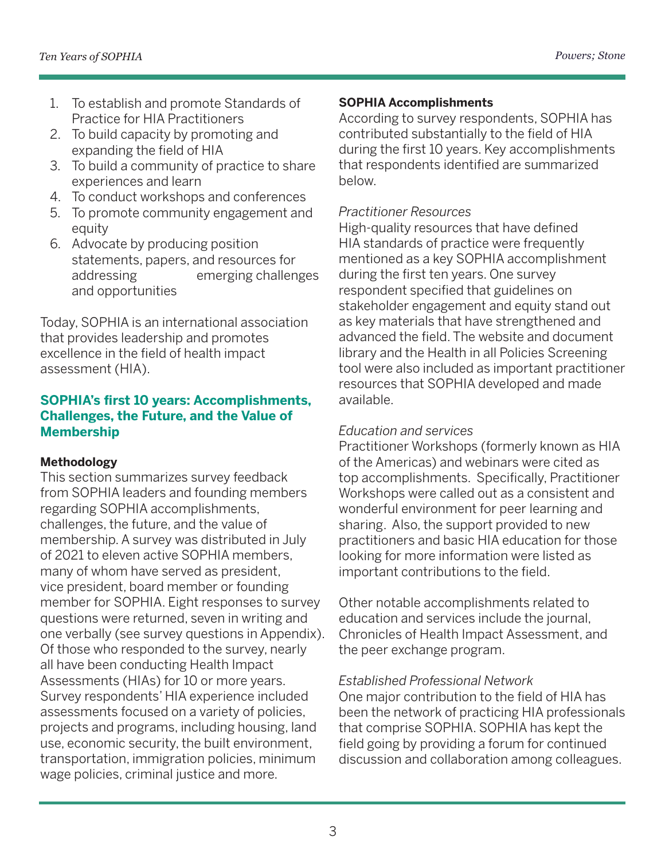- 1. To establish and promote Standards of Practice for HIA Practitioners
- 2. To build capacity by promoting and expanding the field of HIA
- 3. To build a community of practice to share experiences and learn
- 4. To conduct workshops and conferences
- 5. To promote community engagement and equity
- 6. Advocate by producing position statements, papers, and resources for addressing emerging challenges and opportunities

Today, SOPHIA is an international association that provides leadership and promotes excellence in the field of health impact assessment (HIA).

## **SOPHIA's first 10 years: Accomplishments, Challenges, the Future, and the Value of Membership**

## **Methodology**

This section summarizes survey feedback from SOPHIA leaders and founding members regarding SOPHIA accomplishments, challenges, the future, and the value of membership. A survey was distributed in July of 2021 to eleven active SOPHIA members, many of whom have served as president, vice president, board member or founding member for SOPHIA. Eight responses to survey questions were returned, seven in writing and one verbally (see survey questions in Appendix). Of those who responded to the survey, nearly all have been conducting Health Impact Assessments (HIAs) for 10 or more years. Survey respondents' HIA experience included assessments focused on a variety of policies, projects and programs, including housing, land use, economic security, the built environment, transportation, immigration policies, minimum wage policies, criminal justice and more.

## **SOPHIA Accomplishments**

According to survey respondents, SOPHIA has contributed substantially to the field of HIA during the first 10 years. Key accomplishments that respondents identified are summarized below.

#### *Practitioner Resources*

High-quality resources that have defined HIA standards of practice were frequently mentioned as a key SOPHIA accomplishment during the first ten years. One survey respondent specified that guidelines on stakeholder engagement and equity stand out as key materials that have strengthened and advanced the field. The website and document library and the Health in all Policies Screening tool were also included as important practitioner resources that SOPHIA developed and made available.

#### *Education and services*

Practitioner Workshops (formerly known as HIA of the Americas) and webinars were cited as top accomplishments. Specifically, Practitioner Workshops were called out as a consistent and wonderful environment for peer learning and sharing. Also, the support provided to new practitioners and basic HIA education for those looking for more information were listed as important contributions to the field.

Other notable accomplishments related to education and services include the journal, Chronicles of Health Impact Assessment, and the peer exchange program.

#### *Established Professional Network*

One major contribution to the field of HIA has been the network of practicing HIA professionals that comprise SOPHIA. SOPHIA has kept the field going by providing a forum for continued discussion and collaboration among colleagues.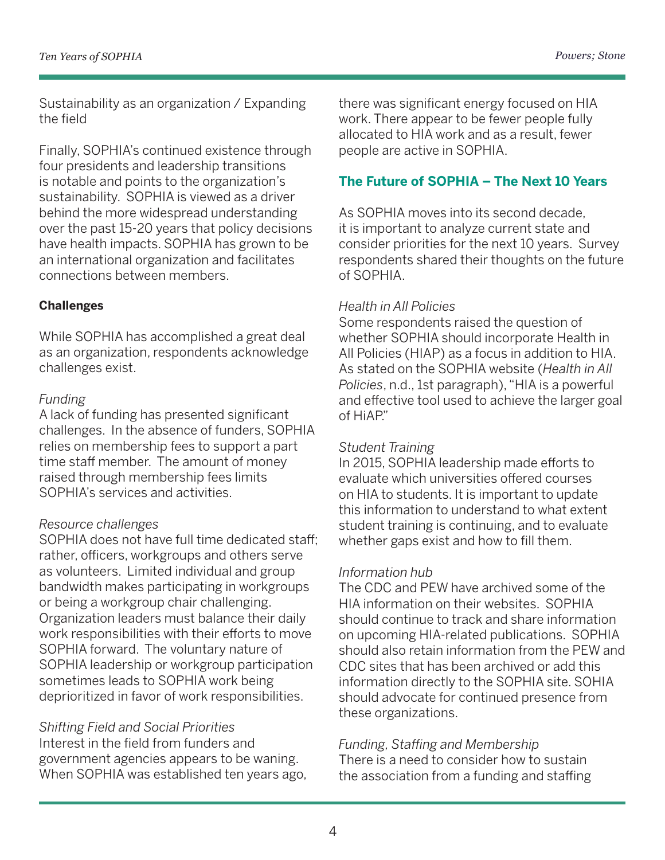Sustainability as an organization / Expanding the field

Finally, SOPHIA's continued existence through four presidents and leadership transitions is notable and points to the organization's sustainability. SOPHIA is viewed as a driver behind the more widespread understanding over the past 15-20 years that policy decisions have health impacts. SOPHIA has grown to be an international organization and facilitates connections between members.

#### **Challenges**

While SOPHIA has accomplished a great deal as an organization, respondents acknowledge challenges exist.

#### *Funding*

A lack of funding has presented significant challenges. In the absence of funders, SOPHIA relies on membership fees to support a part time staff member. The amount of money raised through membership fees limits SOPHIA's services and activities.

## *Resource challenges*

SOPHIA does not have full time dedicated staff; rather, officers, workgroups and others serve as volunteers. Limited individual and group bandwidth makes participating in workgroups or being a workgroup chair challenging. Organization leaders must balance their daily work responsibilities with their efforts to move SOPHIA forward. The voluntary nature of SOPHIA leadership or workgroup participation sometimes leads to SOPHIA work being deprioritized in favor of work responsibilities.

## *Shifting Field and Social Priorities*

Interest in the field from funders and government agencies appears to be waning. When SOPHIA was established ten years ago, there was significant energy focused on HIA work. There appear to be fewer people fully allocated to HIA work and as a result, fewer people are active in SOPHIA.

## **The Future of SOPHIA – The Next 10 Years**

As SOPHIA moves into its second decade, it is important to analyze current state and consider priorities for the next 10 years. Survey respondents shared their thoughts on the future of SOPHIA.

#### *Health in All Policies*

Some respondents raised the question of whether SOPHIA should incorporate Health in All Policies (HIAP) as a focus in addition to HIA. As stated on the SOPHIA website (*Health in All Policies*, n.d., 1st paragraph), "HIA is a powerful and effective tool used to achieve the larger goal of HiAP."

## *Student Training*

In 2015, SOPHIA leadership made efforts to evaluate which universities offered courses on HIA to students. It is important to update this information to understand to what extent student training is continuing, and to evaluate whether gaps exist and how to fill them.

## *Information hub*

The CDC and PEW have archived some of the HIA information on their websites. SOPHIA should continue to track and share information on upcoming HIA-related publications. SOPHIA should also retain information from the PEW and CDC sites that has been archived or add this information directly to the SOPHIA site. SOHIA should advocate for continued presence from these organizations.

## *Funding, Staffing and Membership*

There is a need to consider how to sustain the association from a funding and staffing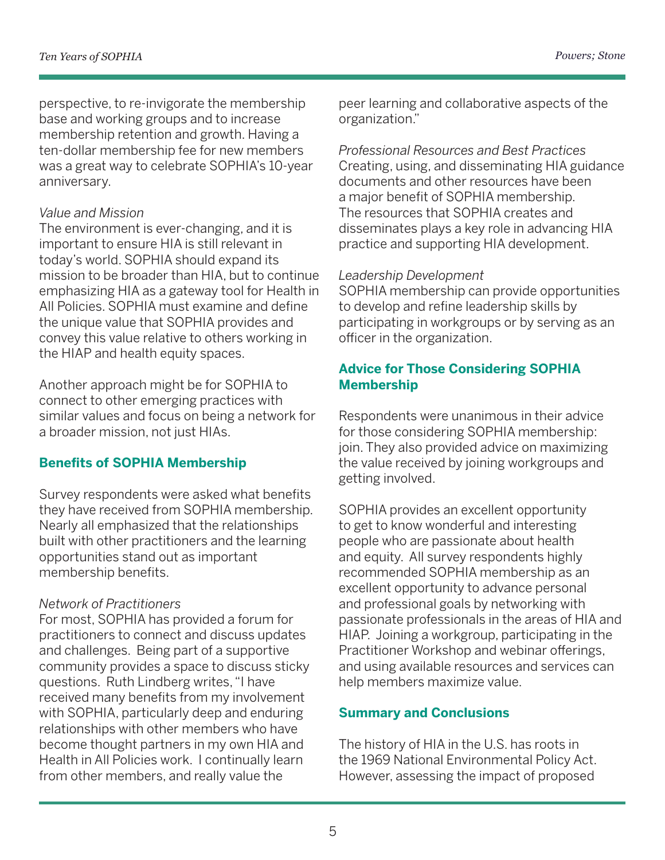perspective, to re-invigorate the membership base and working groups and to increase membership retention and growth. Having a ten-dollar membership fee for new members was a great way to celebrate SOPHIA's 10-year anniversary.

## *Value and Mission*

The environment is ever-changing, and it is important to ensure HIA is still relevant in today's world. SOPHIA should expand its mission to be broader than HIA, but to continue emphasizing HIA as a gateway tool for Health in All Policies. SOPHIA must examine and define the unique value that SOPHIA provides and convey this value relative to others working in the HIAP and health equity spaces.

Another approach might be for SOPHIA to connect to other emerging practices with similar values and focus on being a network for a broader mission, not just HIAs.

# **Benefits of SOPHIA Membership**

Survey respondents were asked what benefits they have received from SOPHIA membership. Nearly all emphasized that the relationships built with other practitioners and the learning opportunities stand out as important membership benefits.

# *Network of Practitioners*

For most, SOPHIA has provided a forum for practitioners to connect and discuss updates and challenges. Being part of a supportive community provides a space to discuss sticky questions. Ruth Lindberg writes, "I have received many benefits from my involvement with SOPHIA, particularly deep and enduring relationships with other members who have become thought partners in my own HIA and Health in All Policies work. I continually learn from other members, and really value the

peer learning and collaborative aspects of the organization."

*Professional Resources and Best Practices* Creating, using, and disseminating HIA guidance documents and other resources have been a major benefit of SOPHIA membership. The resources that SOPHIA creates and disseminates plays a key role in advancing HIA practice and supporting HIA development.

## *Leadership Development*

SOPHIA membership can provide opportunities to develop and refine leadership skills by participating in workgroups or by serving as an officer in the organization.

## **Advice for Those Considering SOPHIA Membership**

Respondents were unanimous in their advice for those considering SOPHIA membership: join. They also provided advice on maximizing the value received by joining workgroups and getting involved.

SOPHIA provides an excellent opportunity to get to know wonderful and interesting people who are passionate about health and equity. All survey respondents highly recommended SOPHIA membership as an excellent opportunity to advance personal and professional goals by networking with passionate professionals in the areas of HIA and HIAP. Joining a workgroup, participating in the Practitioner Workshop and webinar offerings, and using available resources and services can help members maximize value.

# **Summary and Conclusions**

The history of HIA in the U.S. has roots in the 1969 National Environmental Policy Act. However, assessing the impact of proposed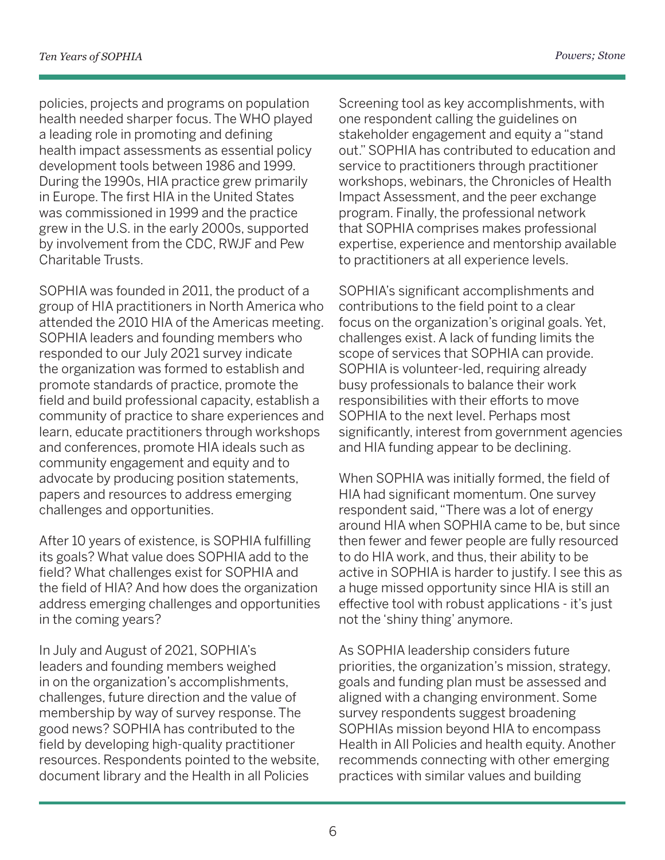policies, projects and programs on population health needed sharper focus. The WHO played a leading role in promoting and defining health impact assessments as essential policy development tools between 1986 and 1999. During the 1990s, HIA practice grew primarily in Europe. The first HIA in the United States was commissioned in 1999 and the practice grew in the U.S. in the early 2000s, supported by involvement from the CDC, RWJF and Pew Charitable Trusts.

SOPHIA was founded in 2011, the product of a group of HIA practitioners in North America who attended the 2010 HIA of the Americas meeting. SOPHIA leaders and founding members who responded to our July 2021 survey indicate the organization was formed to establish and promote standards of practice, promote the field and build professional capacity, establish a community of practice to share experiences and learn, educate practitioners through workshops and conferences, promote HIA ideals such as community engagement and equity and to advocate by producing position statements, papers and resources to address emerging challenges and opportunities.

After 10 years of existence, is SOPHIA fulfilling its goals? What value does SOPHIA add to the field? What challenges exist for SOPHIA and the field of HIA? And how does the organization address emerging challenges and opportunities in the coming years?

In July and August of 2021, SOPHIA's leaders and founding members weighed in on the organization's accomplishments, challenges, future direction and the value of membership by way of survey response. The good news? SOPHIA has contributed to the field by developing high-quality practitioner resources. Respondents pointed to the website, document library and the Health in all Policies

Screening tool as key accomplishments, with one respondent calling the guidelines on stakeholder engagement and equity a "stand out." SOPHIA has contributed to education and service to practitioners through practitioner workshops, webinars, the Chronicles of Health Impact Assessment, and the peer exchange program. Finally, the professional network that SOPHIA comprises makes professional expertise, experience and mentorship available to practitioners at all experience levels.

SOPHIA's significant accomplishments and contributions to the field point to a clear focus on the organization's original goals. Yet, challenges exist. A lack of funding limits the scope of services that SOPHIA can provide. SOPHIA is volunteer-led, requiring already busy professionals to balance their work responsibilities with their efforts to move SOPHIA to the next level. Perhaps most significantly, interest from government agencies and HIA funding appear to be declining.

When SOPHIA was initially formed, the field of HIA had significant momentum. One survey respondent said, "There was a lot of energy around HIA when SOPHIA came to be, but since then fewer and fewer people are fully resourced to do HIA work, and thus, their ability to be active in SOPHIA is harder to justify. I see this as a huge missed opportunity since HIA is still an effective tool with robust applications - it's just not the 'shiny thing' anymore.

As SOPHIA leadership considers future priorities, the organization's mission, strategy, goals and funding plan must be assessed and aligned with a changing environment. Some survey respondents suggest broadening SOPHIAs mission beyond HIA to encompass Health in All Policies and health equity. Another recommends connecting with other emerging practices with similar values and building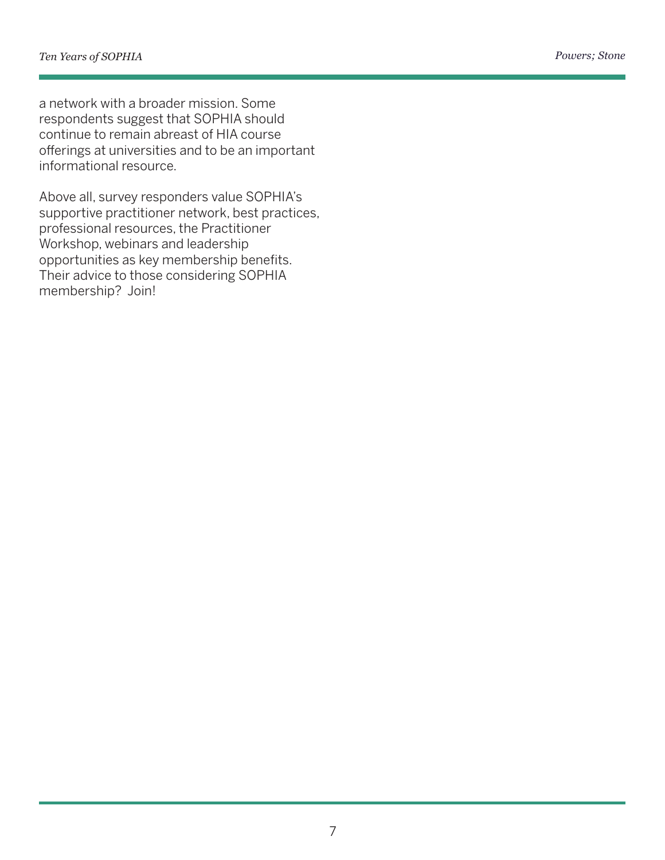a network with a broader mission. Some respondents suggest that SOPHIA should continue to remain abreast of HIA course offerings at universities and to be an important informational resource.

Above all, survey responders value SOPHIA's supportive practitioner network, best practices, professional resources, the Practitioner Workshop, webinars and leadership opportunities as key membership benefits. Their advice to those considering SOPHIA membership? Join!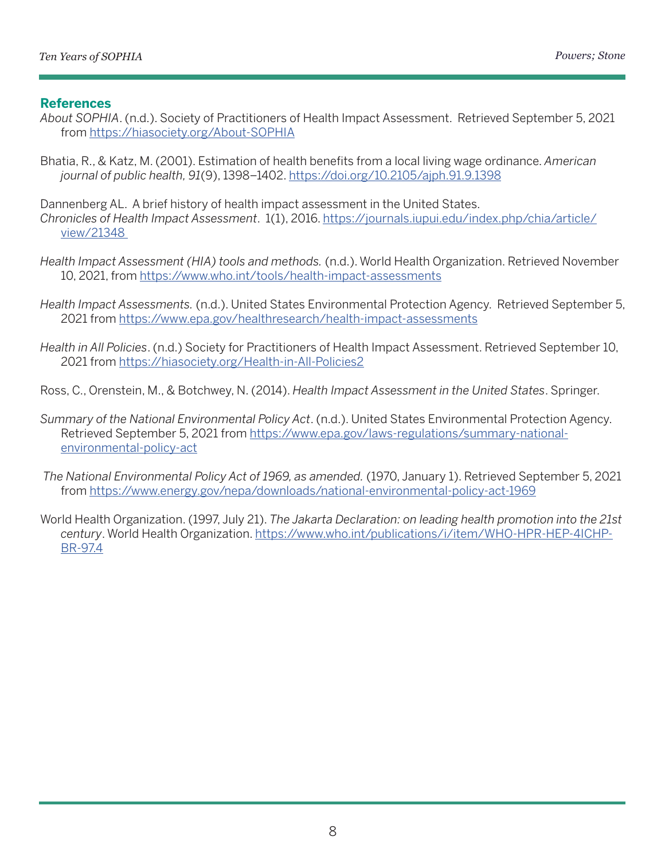#### **References**

- *About SOPHIA*. (n.d.). Society of Practitioners of Health Impact Assessment. Retrieved September 5, 2021 from <https://hiasociety.org/About-SOPHIA>
- Bhatia, R., & Katz, M. (2001). Estimation of health benefits from a local living wage ordinance. *American journal of public health, 91*(9), 1398–1402.<https://doi.org/10.2105/ajph.91.9.1398>
- Dannenberg AL. A brief history of health impact assessment in the United States. *Chronicles of Health Impact Assessment*. 1(1), 2016. [https://journals.iupui.edu/index.php/chia/article/](https://journals.iupui.edu/index.php/chia/article/view/21348 ) [view/21348](https://journals.iupui.edu/index.php/chia/article/view/21348 )
- *Health Impact Assessment (HIA) tools and methods.* (n.d.). World Health Organization. Retrieved November 10, 2021, from <https://www.who.int/tools/health-impact-assessments>
- *Health Impact Assessments.* (n.d.). United States Environmental Protection Agency. Retrieved September 5, 2021 from <https://www.epa.gov/healthresearch/health-impact-assessments>
- *Health in All Policies*. (n.d.) Society for Practitioners of Health Impact Assessment. Retrieved September 10, 2021 from <https://hiasociety.org/Health-in-All-Policies2>
- Ross, C., Orenstein, M., & Botchwey, N. (2014). *Health Impact Assessment in the United States*. Springer.
- *Summary of the National Environmental Policy Act*. (n.d.). United States Environmental Protection Agency. Retrieved September 5, 2021 from [https://www.epa.gov/laws-regulations/summary-national](https://www.epa.gov/laws-regulations/summary-national-environmental-policy-act )[environmental-policy-act](https://www.epa.gov/laws-regulations/summary-national-environmental-policy-act )
- *The National Environmental Policy Act of 1969, as amended.* (1970, January 1). Retrieved September 5, 2021 from <https://www.energy.gov/nepa/downloads/national-environmental-policy-act-1969>
- World Health Organization. (1997, July 21). *The Jakarta Declaration: on leading health promotion into the 21st century*. World Health Organization. [https://www.who.int/publications/i/item/WHO-HPR-HEP-4ICHP-](https://www.who.int/publications/i/item/WHO-HPR-HEP-4ICHP-BR-97.4 )[BR-97.4](https://www.who.int/publications/i/item/WHO-HPR-HEP-4ICHP-BR-97.4 )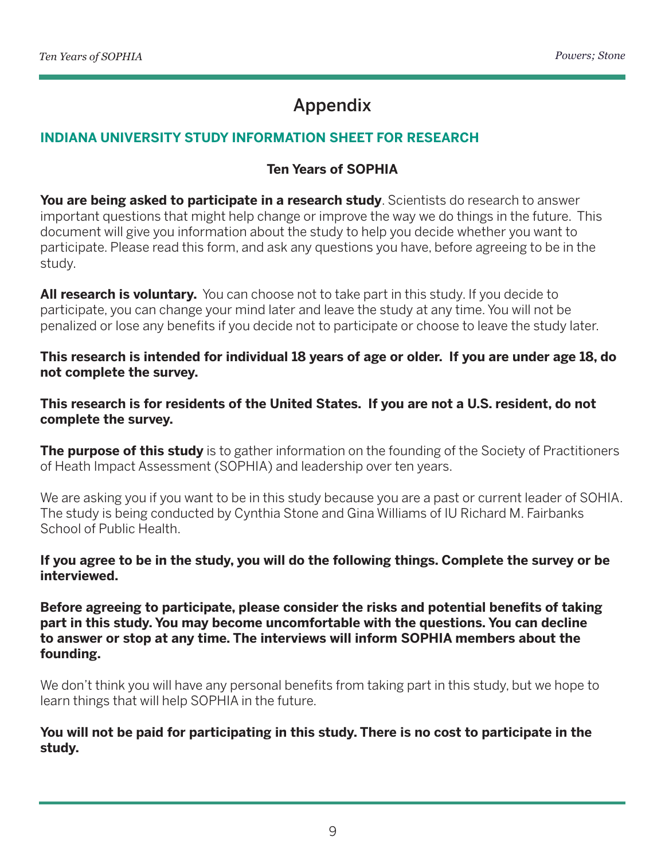# Appendix

# **INDIANA UNIVERSITY STUDY INFORMATION SHEET FOR RESEARCH**

## **Ten Years of SOPHIA**

**You are being asked to participate in a research study**. Scientists do research to answer important questions that might help change or improve the way we do things in the future. This document will give you information about the study to help you decide whether you want to participate. Please read this form, and ask any questions you have, before agreeing to be in the study.

All research is voluntary. You can choose not to take part in this study. If you decide to participate, you can change your mind later and leave the study at any time. You will not be penalized or lose any benefits if you decide not to participate or choose to leave the study later.

**This research is intended for individual 18 years of age or older. If you are under age 18, do not complete the survey.**

**This research is for residents of the United States. If you are not a U.S. resident, do not complete the survey.**

**The purpose of this study** is to gather information on the founding of the Society of Practitioners of Heath Impact Assessment (SOPHIA) and leadership over ten years.

We are asking you if you want to be in this study because you are a past or current leader of SOHIA. The study is being conducted by Cynthia Stone and Gina Williams of IU Richard M. Fairbanks School of Public Health.

**If you agree to be in the study, you will do the following things. Complete the survey or be interviewed.** 

**Before agreeing to participate, please consider the risks and potential benefits of taking part in this study. You may become uncomfortable with the questions. You can decline to answer or stop at any time. The interviews will inform SOPHIA members about the founding.**

We don't think you will have any personal benefits from taking part in this study, but we hope to learn things that will help SOPHIA in the future.

**You will not be paid for participating in this study. There is no cost to participate in the study.**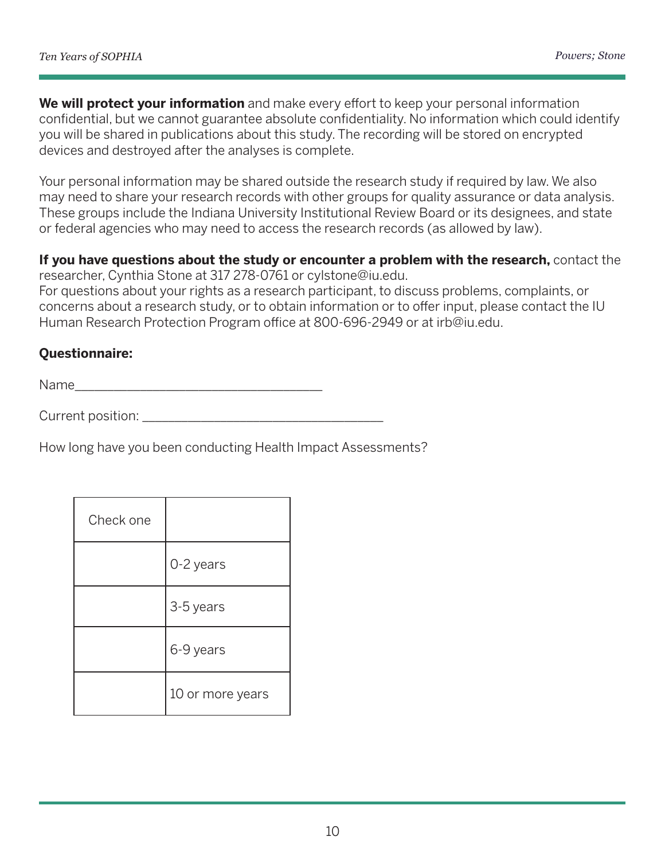**We will protect your information** and make every effort to keep your personal information confidential, but we cannot guarantee absolute confidentiality. No information which could identify you will be shared in publications about this study. The recording will be stored on encrypted devices and destroyed after the analyses is complete.

Your personal information may be shared outside the research study if required by law. We also may need to share your research records with other groups for quality assurance or data analysis. These groups include the Indiana University Institutional Review Board or its designees, and state or federal agencies who may need to access the research records (as allowed by law).

#### **If you have questions about the study or encounter a problem with the research,** contact the researcher, Cynthia Stone at 317 278-0761 or cylstone@iu.edu.

For questions about your rights as a research participant, to discuss problems, complaints, or concerns about a research study, or to obtain information or to offer input, please contact the IU Human Research Protection Program office at 800-696-2949 or at irb@iu.edu.

# **Questionnaire:**

Name\_\_\_\_\_\_\_\_\_\_\_\_\_\_\_\_\_\_\_\_\_\_\_\_\_\_\_\_\_\_\_\_\_\_\_\_\_\_

Current position: \_\_\_\_\_\_\_\_\_\_\_\_\_\_\_\_\_\_\_\_\_\_\_\_\_\_\_\_\_\_\_\_\_\_\_\_\_

How long have you been conducting Health Impact Assessments?

| Check one |                  |
|-----------|------------------|
|           | 0-2 years        |
|           | 3-5 years        |
|           | 6-9 years        |
|           | 10 or more years |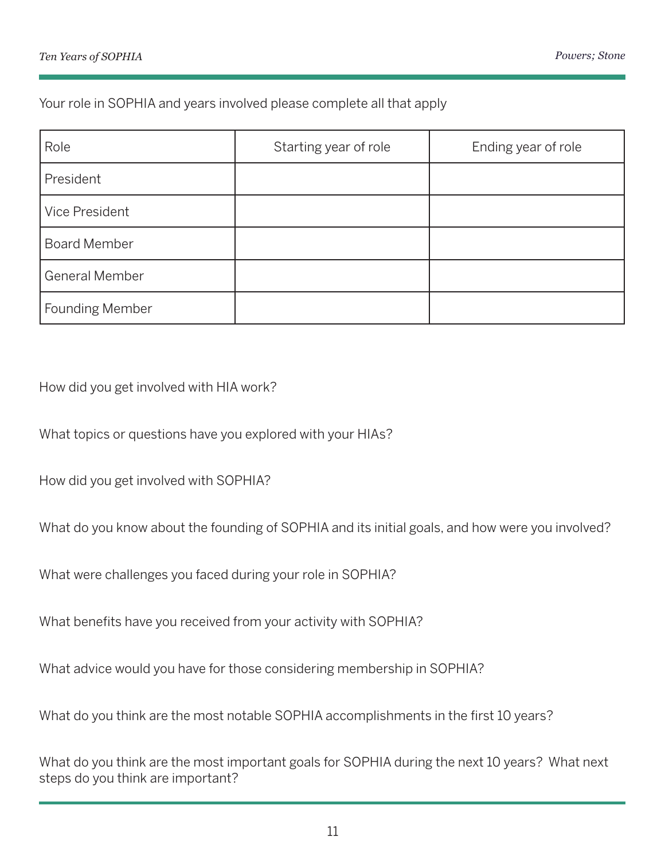Your role in SOPHIA and years involved please complete all that apply

| Role                   | Starting year of role | Ending year of role |
|------------------------|-----------------------|---------------------|
| President              |                       |                     |
| Vice President         |                       |                     |
| <b>Board Member</b>    |                       |                     |
| <b>General Member</b>  |                       |                     |
| <b>Founding Member</b> |                       |                     |

How did you get involved with HIA work?

What topics or questions have you explored with your HIAs?

How did you get involved with SOPHIA?

What do you know about the founding of SOPHIA and its initial goals, and how were you involved?

What were challenges you faced during your role in SOPHIA?

What benefits have you received from your activity with SOPHIA?

What advice would you have for those considering membership in SOPHIA?

What do you think are the most notable SOPHIA accomplishments in the first 10 years?

What do you think are the most important goals for SOPHIA during the next 10 years? What next steps do you think are important?